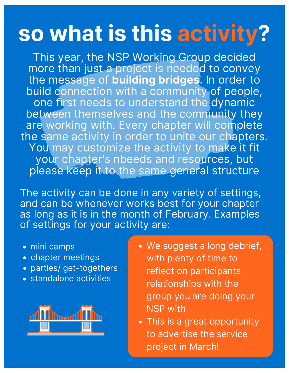## **so what is this activity?**

This year, the NSP Working Group decided more than just a project is needed to convey the message of **building bridges**. In order to build connection with a community of people, one first needs to understand the dynamic between themselves and the community they are working with. Every chapter will complete the same activity in order to unite our chapters. You may customize the activity to make it fit your chapter's nbeeds and resources, but please keep it to the same general structure

The activity can be done in any variety of settings, and can be whenever works best for your chapter as long as it is in the month of February. Examples of settings for your activity are:

- mini camps
- chapter meetings
- parties/ get-togethers
- standalone activities



- We suggest a long debrief, with plenty of time to reflect on participants relationships with the group you are doing your NSP with
- This is a great opportunity to advertise the service project in March!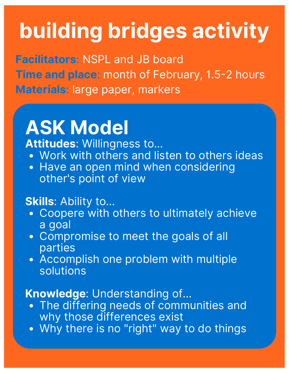# **building bridges activity**

**Facilitators**: NSPL and JB board **Time and place:** month of February, 1.5-2 hours **Materials**: large paper, markers

### **ASK Model**

**Attitudes**: Willingness to...

- Work with others and listen to others ideas
- Have an open mind when considering other's point of view

### **Skills**: Ability to…

- Coopere with others to ultimately achieve a goal
- Compromise to meet the goals of all parties
- Accomplish one problem with multiple solutions

### **Knowledge**: Understanding of…

- The differing needs of communities and why those differences exist
- . Why there is no "right" way to do things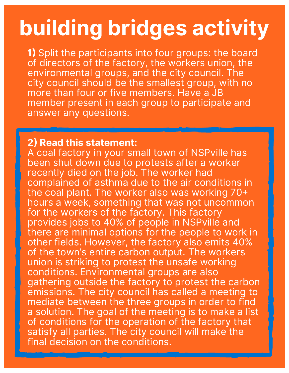## **building bridges activity**

**1** Split the participants into four groups: the board of directors of the factory, the workers union, the environmental groups, and the city council. The city council should be the smallest group, with no more than four or five members. Have a JB member present in each group to participate and answer any questions.

#### **2 Read this statement:**

A coal factory in your small town of NSPville has been shut down due to protests after a worker recently died on the job. The worker had complained of asthma due to the air conditions in the coal plant. The worker also was working 70 hours a week, something that was not uncommon for the workers of the factory. This factory provides jobs to 40% of people in NSPville and there are minimal options for the people to work in other fields. However, the factory also emits 40% of the town's entire carbon output. The workers union is striking to protest the unsafe working conditions. Environmental groups are also gathering outside the factory to protest the carbon emissions. The city council has called a meeting to mediate between the three groups in order to find a solution. The goal of the meeting is to make a list of conditions for the operation of the factory that satisfy all parties. The city council will make the final decision on the conditions.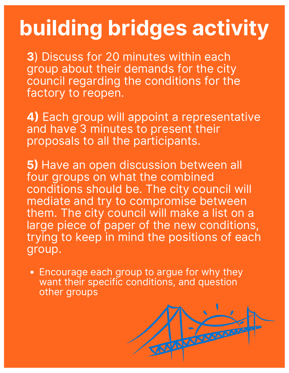## **building bridges activity**

**3**) Discuss for 20 minutes within each group about their demands for the city council regarding the conditions for the factory to reopen.

**4)** Each group will appoint a representative and have 3 minutes to present their proposals to all the participants.

**5)** Have an open discussion between all four groups on what the combined conditions should be. The city council will mediate and try to compromise between them. The city council will make a list on a large piece of paper of the new conditions, trying to keep in mind the positions of each group.

Encourage each group to argue for why they want their specific conditions, and question other groups